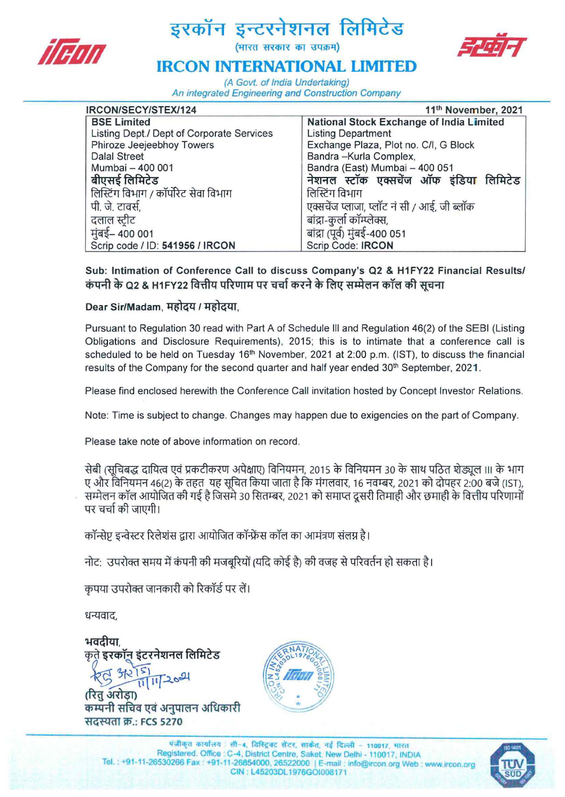

# इरकॉन इन्टरनेशनल लिमिटेड<br>*||माता*



## **IRCON INTERNATIONAL LIMITED**

(A Govt. of India Undertaking) An integrated Engineering and Construction Company

| IRCON/SECY/STEX/124                       | 11 <sup>th</sup> November, 2021             |
|-------------------------------------------|---------------------------------------------|
| <b>BSE Limited</b>                        | National Stock Exchange of India Limited    |
| Listing Dept./ Dept of Corporate Services | <b>Listing Department</b>                   |
| Phiroze Jeejeebhoy Towers                 | Exchange Plaza, Plot no. C/I, G Block       |
| <b>Dalal Street</b>                       | Bandra - Kurla Complex,                     |
| Mumbai - 400 001                          | Bandra (East) Mumbai - 400 051              |
| बीएसई लिमिटेड                             | नेशनल स्टॉक एक्सचेंज ऑफ इंडिया लिमिटेड      |
| लिस्टिंग विभाग / कॉर्पोरेट सेवा विभाग     | लिस्टिंग विभाग                              |
| पी. जे. टावर्स,                           | एक्सचेंज प्लाजा, प्लॉट नं सी / आई, जी ब्लॉक |
| दलाल स्टीट                                | बांद्रा-कुर्ला कॉम्प्लेक्स,                 |
| मुंबई– 400 001                            | बांद्रा (पूर्व) मुंबई-400 051               |
| Scrip code / ID: 541956 / IRCON           | Scrip Code: IRCON                           |

Sub: Intimation of Conference Call to discuss Company's Q2 & H1FY22 Financial Results/ कंपनी के Q2 & H1FY22 वित्तीय परिणाम पर चर्चा करने के लिए सम्मेलन कॉल की सचना

#### Dear Sir/Madam, महोदय / महोदया.

Pursuant to Regulation 30 read with Part A of Schedule III and Regulation 46(2) of the SEBI (Listing Obligations and Disclosure Requirements), 2015; this is to intimate that a conference call is scheduled to be held on Tuesday 16<sup>th</sup> November, 2021 at 2:00 p.m. (IST), to discuss the financial results of the Company for the second quarter and half year ended 30<sup>th</sup> September, 2021.

Please find enclosed herewith the Conference Call invitation hosted by Concept Investor Relations.

Note: Time is subject to change. Changes may happen due to exigencies on the part of Company.

Please take note of above information on record.

सेबी (सुचिबद्ध दायित्व एवं प्रकटीकरण अपेक्षाए) विनियमन, 2015 के विनियमन 30 के साथ पठित शेड्यूल III के भाग ए और विनियमन 46(2) के तहत यह सुचित किया जाता है कि मंगलवार, 16 नवम्बर, 2021 को दोपहर 2:00 बजे (IST), सम्मेलन कॉल आयोजित की गई है जिसमे 30 सितम्बर, 2021 को समाप्त दूसरी तिमाही और छमाही के वित्तीय परिणामों पर चर्चा की जाएगी।

कॉन्सेप्ट इन्वेस्टर रिलेशंस द्वारा आयोजित कॉन्फ्रेंस कॉल का आमंत्रण संलग्न है।

: \3q~lCR1 "tl1lQ-q<i>tRTctft 4\i1ilJ)"xtil" (~q;){ ~ ctft~-B q~qcf1-~hr'Pc!T~1

कृपया उपरोक्त जानकारी को रिकॉर्ड पर लें।

धन्यवाद,

भवदीया कृते इरकॉन इंटरनेशनल लिमिटेड

(रित अरोडा) कम्पनी सचिव एवं अनुपालन अधिकारी सदस्यता क्र.: FCS 5270



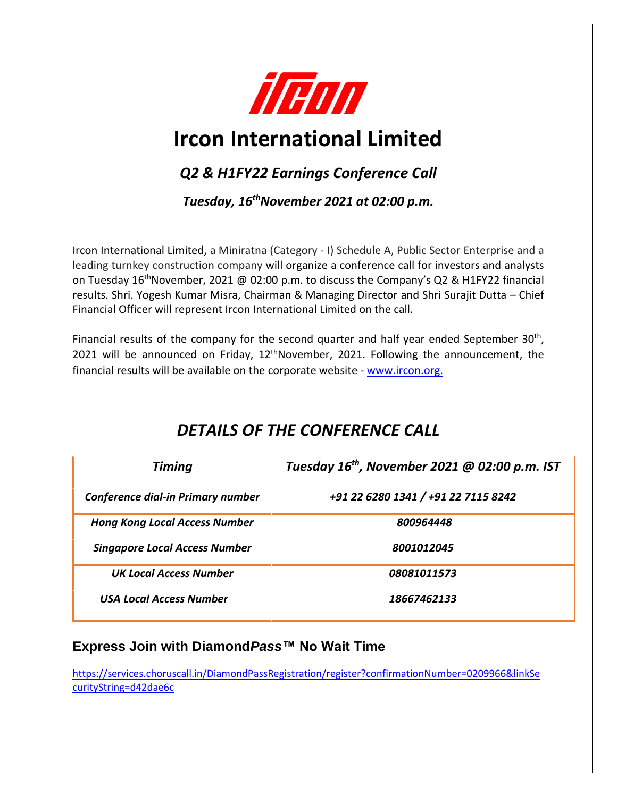

## **Ircon International Limited**

## *Q2 & H1FY22 Earnings Conference Call*

*Tuesday, 16thNovember 2021 at 02:00 p.m.*

Ircon International Limited, a Miniratna (Category - I) Schedule A, Public Sector Enterprise and a leading turnkey construction company will organize a conference call for investors and analysts on Tuesday 16<sup>th</sup>November, 2021 @ 02:00 p.m. to discuss the Company's Q2 & H1FY22 financial results. Shri. Yogesh Kumar Misra, Chairman & Managing Director and Shri Surajit Dutta – Chief Financial Officer will represent Ircon International Limited on the call.

Financial results of the company for the second quarter and half year ended September 30<sup>th</sup>, 2021 will be announced on Friday,  $12<sup>th</sup>$ November, 2021. Following the announcement, the financial results will be available on the corporate website - www.ircon.org.

| <b>Timing</b>                            | Tuesday $16^{th}$ , November 2021 @ 02:00 p.m. IST |
|------------------------------------------|----------------------------------------------------|
| <b>Conference dial-in Primary number</b> | +91 22 6280 1341 / +91 22 7115 8242                |
| <b>Hong Kong Local Access Number</b>     | 800964448                                          |
| <b>Singapore Local Access Number</b>     | 8001012045                                         |
| <b>UK Local Access Number</b>            | 08081011573                                        |
| <b>USA Local Access Number</b>           | 18667462133                                        |

## *DETAILS OF THE CONFERENCE CALL*

### **Express Join with Diamond***Pass***™ No Wait Time**

[https://services.choruscall.in/DiamondPassRegistration/register?confirmationNumber=0209966&linkSe](https://services.choruscall.in/DiamondPassRegistration/register?confirmationNumber=0209966&linkSecurityString=d42dae6c) [curityString=d42dae6c](https://services.choruscall.in/DiamondPassRegistration/register?confirmationNumber=0209966&linkSecurityString=d42dae6c)